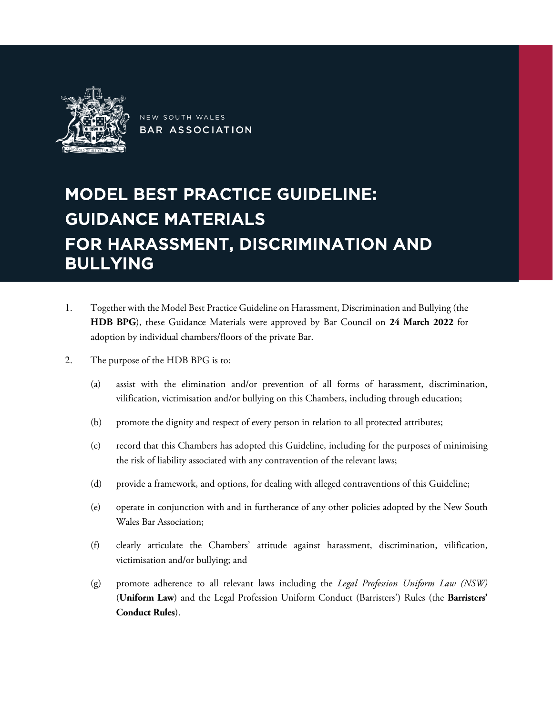

NEW SOUTH WALES **BAR ASSOCIATION** 

# MODEL BEST PRACTICE GUIDELINE: GUIDANCE MATERIALS FOR HARASSMENT, DISCRIMINATION AND BULLYING

- 1. Together with the Model Best Practice Guideline on Harassment, Discrimination and Bullying (the **HDB BPG**), these Guidance Materials were approved by Bar Council on **24 March 2022** for adoption by individual chambers/floors of the private Bar.
- 2. The purpose of the HDB BPG is to:
	- (a) assist with the elimination and/or prevention of all forms of harassment, discrimination, vilification, victimisation and/or bullying on this Chambers, including through education;
	- (b) promote the dignity and respect of every person in relation to all protected attributes;
	- (c) record that this Chambers has adopted this Guideline, including for the purposes of minimising the risk of liability associated with any contravention of the relevant laws;
	- (d) provide a framework, and options, for dealing with alleged contraventions of this Guideline;
	- (e) operate in conjunction with and in furtherance of any other policies adopted by the New South Wales Bar Association;
	- (f) clearly articulate the Chambers' attitude against harassment, discrimination, vilification, victimisation and/or bullying; and
	- (g) promote adherence to all relevant laws including the *Legal Profession Uniform Law (NSW)*  (**Uniform Law**) and the Legal Profession Uniform Conduct (Barristers') Rules (the **Barristers' Conduct Rules**).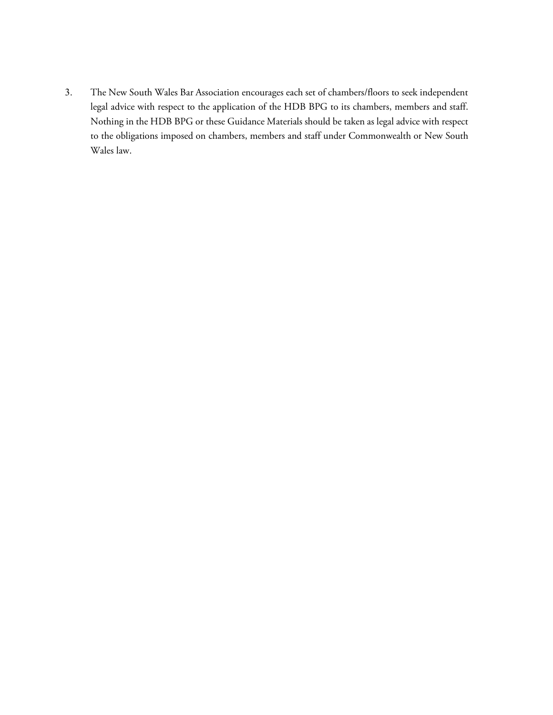3. The New South Wales Bar Association encourages each set of chambers/floors to seek independent legal advice with respect to the application of the HDB BPG to its chambers, members and staff. Nothing in the HDB BPG or these Guidance Materials should be taken as legal advice with respect to the obligations imposed on chambers, members and staff under Commonwealth or New South Wales law.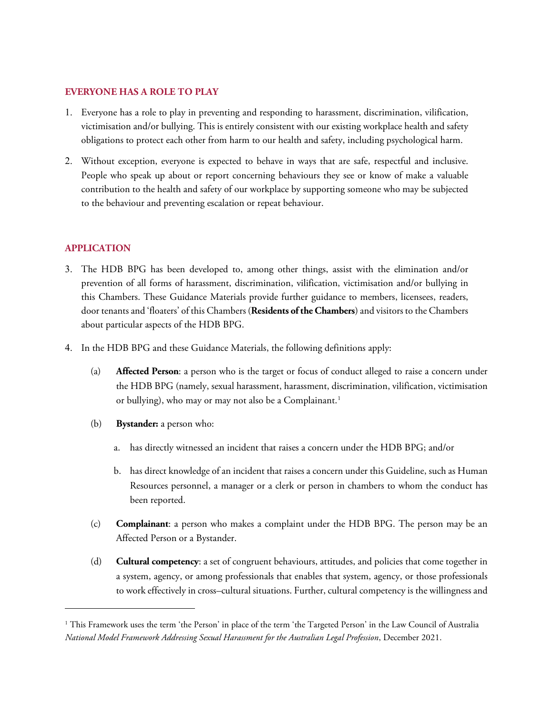## **EVERYONE HAS A ROLE TO PLAY**

- 1. Everyone has a role to play in preventing and responding to harassment, discrimination, vilification, victimisation and/or bullying. This is entirely consistent with our existing workplace health and safety obligations to protect each other from harm to our health and safety, including psychological harm.
- 2. Without exception, everyone is expected to behave in ways that are safe, respectful and inclusive. People who speak up about or report concerning behaviours they see or know of make a valuable contribution to the health and safety of our workplace by supporting someone who may be subjected to the behaviour and preventing escalation or repeat behaviour.

# **APPLICATION**

- 3. The HDB BPG has been developed to, among other things, assist with the elimination and/or prevention of all forms of harassment, discrimination, vilification, victimisation and/or bullying in this Chambers. These Guidance Materials provide further guidance to members, licensees, readers, door tenants and 'floaters' of this Chambers (**Residents of the Chambers**) and visitors to the Chambers about particular aspects of the HDB BPG.
- 4. In the HDB BPG and these Guidance Materials, the following definitions apply:
	- (a) **Affected Person**: a person who is the target or focus of conduct alleged to raise a concern under the HDB BPG (namely, sexual harassment, harassment, discrimination, vilification, victimisation or bullying), who may or may not also be a Complainant.<sup>[1](#page-2-0)</sup>
	- (b) **Bystander:** a person who:
		- a. has directly witnessed an incident that raises a concern under the HDB BPG; and/or
		- b. has direct knowledge of an incident that raises a concern under this Guideline, such as Human Resources personnel, a manager or a clerk or person in chambers to whom the conduct has been reported.
	- (c) **Complainant**: a person who makes a complaint under the HDB BPG. The person may be an Affected Person or a Bystander.
	- (d) **Cultural competency**: a set of congruent behaviours, attitudes, and policies that come together in a system, agency, or among professionals that enables that system, agency, or those professionals to work effectively in cross–cultural situations. Further, cultural competency is the willingness and

<span id="page-2-0"></span><sup>&</sup>lt;sup>1</sup> This Framework uses the term 'the Person' in place of the term 'the Targeted Person' in the Law Council of Australia *National Model Framework Addressing Sexual Harassment for the Australian Legal Profession*, December 2021.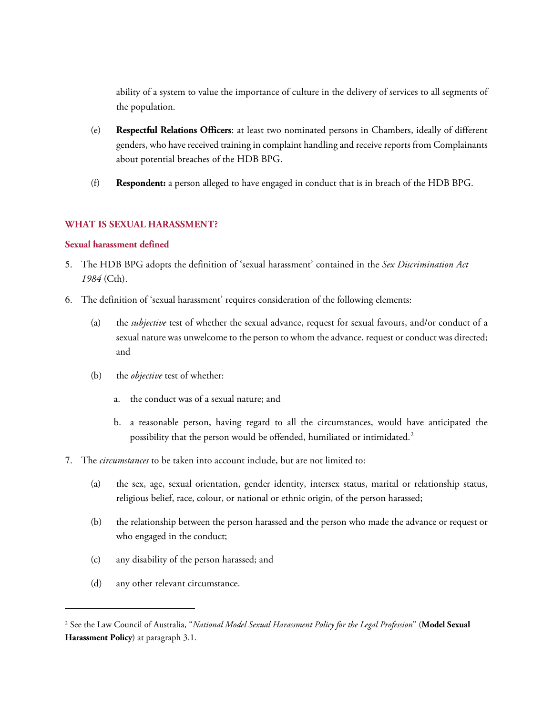ability of a system to value the importance of culture in the delivery of services to all segments of the population.

- (e) **Respectful Relations Officers**: at least two nominated persons in Chambers, ideally of different genders, who have received training in complaint handling and receive reports from Complainants about potential breaches of the HDB BPG.
- (f) **Respondent:** a person alleged to have engaged in conduct that is in breach of the HDB BPG.

## **WHAT IS SEXUAL HARASSMENT?**

#### **Sexual harassment defined**

- 5. The HDB BPG adopts the definition of 'sexual harassment' contained in the *Sex Discrimination Act 1984* (Cth).
- 6. The definition of 'sexual harassment' requires consideration of the following elements:
	- (a) the *subjective* test of whether the sexual advance, request for sexual favours, and/or conduct of a sexual nature was unwelcome to the person to whom the advance, request or conduct was directed; and
	- (b) the *objective* test of whether:
		- a. the conduct was of a sexual nature; and
		- b. a reasonable person, having regard to all the circumstances, would have anticipated the possibility that the person would be offended, humiliated or intimidated.<sup>[2](#page-3-0)</sup>
- 7. The *circumstances* to be taken into account include, but are not limited to:
	- (a) the sex, age, sexual orientation, gender identity, intersex status, marital or relationship status, religious belief, race, colour, or national or ethnic origin, of the person harassed;
	- (b) the relationship between the person harassed and the person who made the advance or request or who engaged in the conduct;
	- (c) any disability of the person harassed; and
	- (d) any other relevant circumstance.

<span id="page-3-0"></span><sup>2</sup> See the Law Council of Australia, "*National Model Sexual Harassment Policy for the Legal Profession*" (**Model Sexual Harassment Policy**) at paragraph 3.1.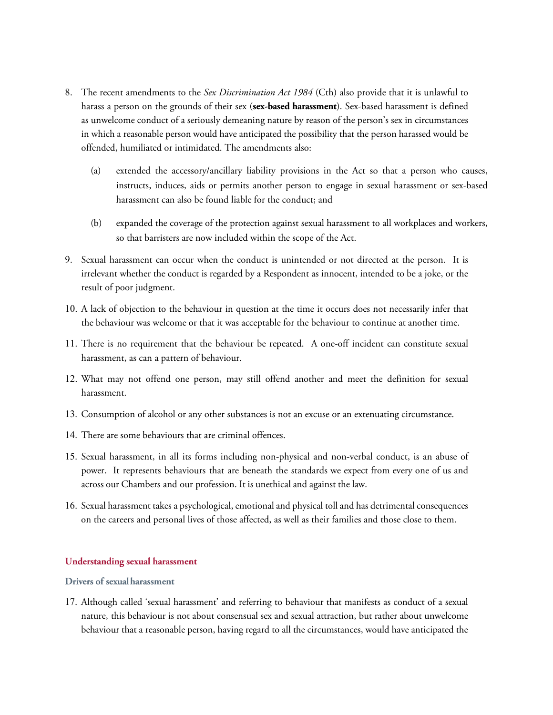- 8. The recent amendments to the *Sex Discrimination Act 1984* (Cth) also provide that it is unlawful to harass a person on the grounds of their sex (**sex-based harassment**). Sex-based harassment is defined as unwelcome conduct of a seriously demeaning nature by reason of the person's sex in circumstances in which a reasonable person would have anticipated the possibility that the person harassed would be offended, humiliated or intimidated. The amendments also:
	- (a) extended the accessory/ancillary liability provisions in the Act so that a person who causes, instructs, induces, aids or permits another person to engage in sexual harassment or sex-based harassment can also be found liable for the conduct; and
	- (b) expanded the coverage of the protection against sexual harassment to all workplaces and workers, so that barristers are now included within the scope of the Act.
- 9. Sexual harassment can occur when the conduct is unintended or not directed at the person. It is irrelevant whether the conduct is regarded by a Respondent as innocent, intended to be a joke, or the result of poor judgment.
- 10. A lack of objection to the behaviour in question at the time it occurs does not necessarily infer that the behaviour was welcome or that it was acceptable for the behaviour to continue at another time.
- 11. There is no requirement that the behaviour be repeated. A one-off incident can constitute sexual harassment, as can a pattern of behaviour.
- 12. What may not offend one person, may still offend another and meet the definition for sexual harassment.
- 13. Consumption of alcohol or any other substances is not an excuse or an extenuating circumstance.
- 14. There are some behaviours that are criminal offences.
- 15. Sexual harassment, in all its forms including non-physical and non-verbal conduct, is an abuse of power. It represents behaviours that are beneath the standards we expect from every one of us and across our Chambers and our profession. It is unethical and against the law.
- 16. Sexual harassment takes a psychological, emotional and physical toll and has detrimental consequences on the careers and personal lives of those affected, as well as their families and those close to them.

#### **Understanding sexual harassment**

#### **Drivers of sexualharassment**

17. Although called 'sexual harassment' and referring to behaviour that manifests as conduct of a sexual nature, this behaviour is not about consensual sex and sexual attraction, but rather about unwelcome behaviour that a reasonable person, having regard to all the circumstances, would have anticipated the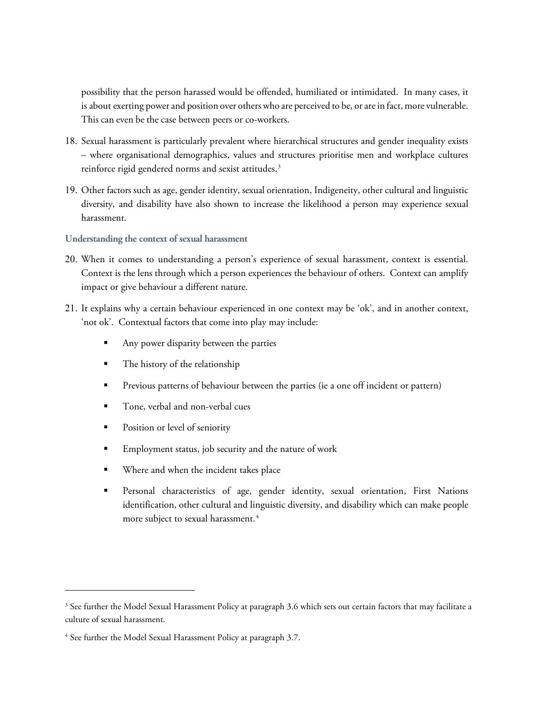possibility that the person harassed would be offended, humiliated or intimidated. In many cases, it is about exerting power and position over others who are perceived to be, or are in fact, more vulnerable. This can even be the case between peers or co-workers.

- 18. Sexual harassment is particularly prevalent where hierarchical structures and gender inequality exists – where organisational demographics, values and structures prioritise men and workplace cultures reinforce rigid gendered norms and sexist attitudes.<sup>[3](#page-5-0)</sup>
- 19. Other factors such as age, gender identity, sexual orientation, Indigeneity, other cultural and linguistic diversity, and disability have also shown to increase the likelihood a person may experience sexual harassment.

#### **Understanding the context of sexual harassment**

- 20. When it comes to understanding a person's experience of sexual harassment, context is essential. Context is the lens through which a person experiences the behaviour of others. Context can amplify impact or give behaviour a different nature.
- 21. It explains why a certain behaviour experienced in one context may be 'ok', and in another context, 'not ok'. Contextual factors that come into play may include:
	- Any power disparity between the parties
	- The history of the relationship
	- Previous patterns of behaviour between the parties (ie a one off incident or pattern)
	- Tone, verbal and non-verbal cues
	- Position or level of seniority
	- Employment status, job security and the nature of work
	- Where and when the incident takes place
	- Personal characteristics of age, gender identity, sexual orientation, First Nations identification, other cultural and linguistic diversity, and disability which can make people more subject to sexual harassment.<sup>[4](#page-5-1)</sup>

<span id="page-5-0"></span> $3$  See further the Model Sexual Harassment Policy at paragraph 3.6 which sets out certain factors that may facilitate a culture of sexual harassment.

<span id="page-5-1"></span><sup>4</sup> See further the Model Sexual Harassment Policy at paragraph 3.7.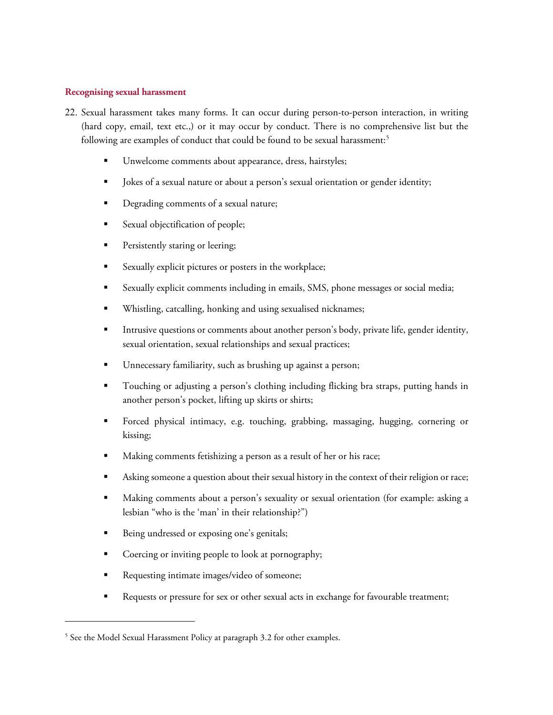## **Recognising sexual harassment**

- 22. Sexual harassment takes many forms. It can occur during person-to-person interaction, in writing (hard copy, email, text etc.,) or it may occur by conduct. There is no comprehensive list but the following are examples of conduct that could be found to be sexual harassment:<sup>[5](#page-6-0)</sup>
	- Unwelcome comments about appearance, dress, hairstyles;
	- Dekes of a sexual nature or about a person's sexual orientation or gender identity;
	- Degrading comments of a sexual nature;
	- Sexual objectification of people;
	- **Persistently staring or leering;**
	- Sexually explicit pictures or posters in the workplace;
	- Sexually explicit comments including in emails, SMS, phone messages or social media;
	- Whistling, catcalling, honking and using sexualised nicknames;
	- Intrusive questions or comments about another person's body, private life, gender identity, sexual orientation, sexual relationships and sexual practices;
	- Unnecessary familiarity, such as brushing up against a person;
	- Touching or adjusting a person's clothing including flicking bra straps, putting hands in another person's pocket, lifting up skirts or shirts;
	- Forced physical intimacy, e.g. touching, grabbing, massaging, hugging, cornering or kissing;
	- Making comments fetishizing a person as a result of her or his race;
	- Asking someone a question about their sexual history in the context of their religion or race;
	- Making comments about a person's sexuality or sexual orientation (for example: asking a lesbian "who is the 'man' in their relationship?")
	- Being undressed or exposing one's genitals;
	- Coercing or inviting people to look at pornography;
	- Requesting intimate images/video of someone;
	- Requests or pressure for sex or other sexual acts in exchange for favourable treatment;

<span id="page-6-0"></span><sup>&</sup>lt;sup>5</sup> See the Model Sexual Harassment Policy at paragraph 3.2 for other examples.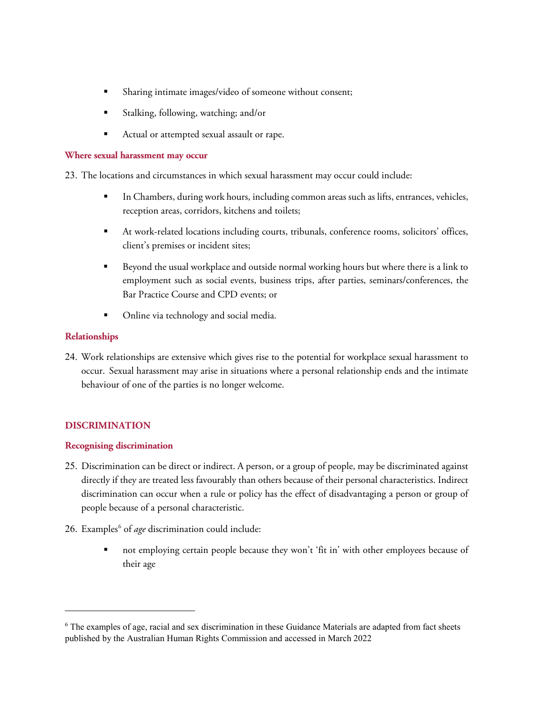- Sharing intimate images/video of someone without consent;
- Stalking, following, watching; and/or
- Actual or attempted sexual assault or rape.

#### **Where sexual harassment may occur**

23. The locations and circumstances in which sexual harassment may occur could include:

- In Chambers, during work hours, including common areas such as lifts, entrances, vehicles, reception areas, corridors, kitchens and toilets;
- At work-related locations including courts, tribunals, conference rooms, solicitors' offices, client's premises or incident sites;
- Beyond the usual workplace and outside normal working hours but where there is a link to employment such as social events, business trips, after parties, seminars/conferences, the Bar Practice Course and CPD events; or
- Online via technology and social media.

## **Relationships**

24. Work relationships are extensive which gives rise to the potential for workplace sexual harassment to occur. Sexual harassment may arise in situations where a personal relationship ends and the intimate behaviour of one of the parties is no longer welcome.

# **DISCRIMINATION**

 $\overline{a}$ 

## **Recognising discrimination**

- 25. Discrimination can be direct or indirect. A person, or a group of people, may be discriminated against directly if they are treated less favourably than others because of their personal characteristics. Indirect discrimination can occur when a rule or policy has the effect of disadvantaging a person or group of people because of a personal characteristic.
- 2[6](#page-7-0). Examples<sup>6</sup> of *age* discrimination could include:
	- not employing certain people because they won't 'fit in' with other employees because of their age

<span id="page-7-0"></span><sup>6</sup> The examples of age, racial and sex discrimination in these Guidance Materials are adapted from fact sheets published by the Australian Human Rights Commission and accessed in March 2022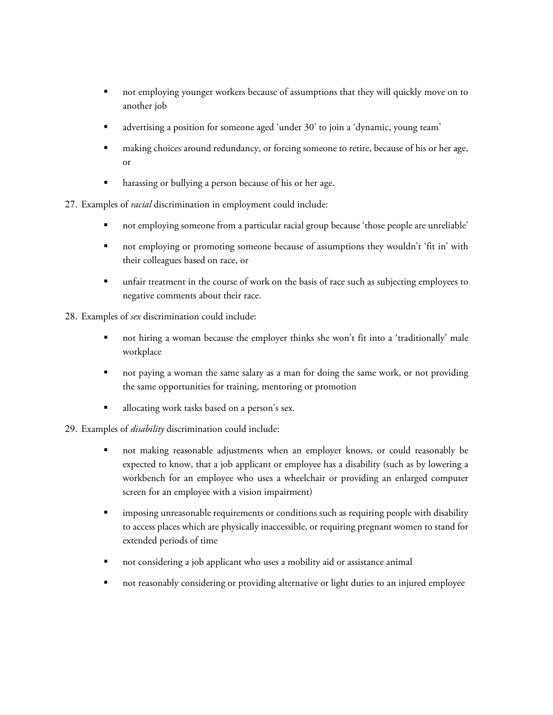- not employing younger workers because of assumptions that they will quickly move on to another job
- advertising a position for someone aged 'under 30' to join a 'dynamic, young team'
- making choices around redundancy, or forcing someone to retire, because of his or her age, or
- harassing or bullying a person because of his or her age.
- 27. Examples of *racial* discrimination in employment could include:
	- not employing someone from a particular racial group because 'those people are unreliable'
	- not employing or promoting someone because of assumptions they wouldn't 'fit in' with their colleagues based on race, or
	- unfair treatment in the course of work on the basis of race such as subjecting employees to negative comments about their race.

28. Examples of *sex* discrimination could include:

- not hiring a woman because the employer thinks she won't fit into a 'traditionally' male workplace
- not paying a woman the same salary as a man for doing the same work, or not providing the same opportunities for training, mentoring or promotion
- **allocating work tasks based on a person's sex.**
- 29. Examples of *disability* discrimination could include:
	- not making reasonable adjustments when an employer knows, or could reasonably be expected to know, that a job applicant or employee has a disability (such as by lowering a workbench for an employee who uses a wheelchair or providing an enlarged computer screen for an employee with a vision impairment)
	- imposing unreasonable requirements or conditions such as requiring people with disability to access places which are physically inaccessible, or requiring pregnant women to stand for extended periods of time
	- not considering a job applicant who uses a mobility aid or assistance animal
	- not reasonably considering or providing alternative or light duties to an injured employee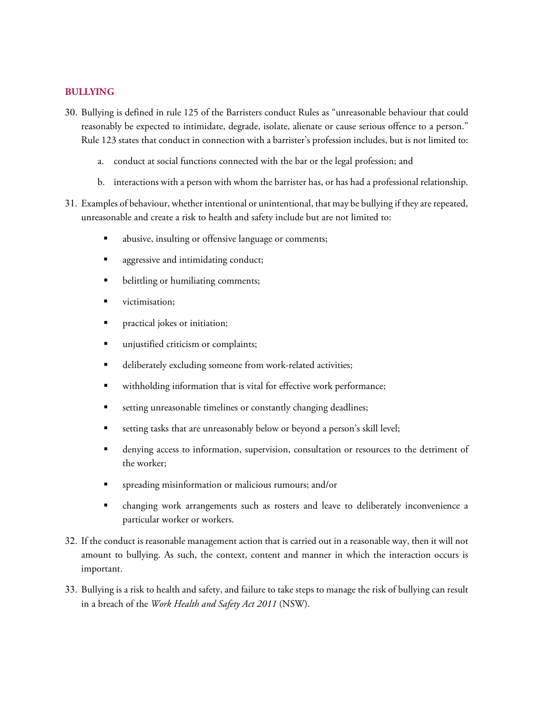#### **BULLYING**

- 30. Bullying is defined in rule 125 of the Barristers conduct Rules as "unreasonable behaviour that could reasonably be expected to intimidate, degrade, isolate, alienate or cause serious offence to a person." Rule 123 states that conduct in connection with a barrister's profession includes, but is not limited to:
	- a. conduct at social functions connected with the bar or the legal profession; and
	- b. interactions with a person with whom the barrister has, or has had a professional relationship.
- 31. Examples of behaviour, whether intentional or unintentional, that may be bullying if they are repeated, unreasonable and create a risk to health and safety include but are not limited to:
	- abusive, insulting or offensive language or comments;
	- aggressive and intimidating conduct;
	- belittling or humiliating comments;
	- victimisation;
	- practical jokes or initiation;
	- **unjustified criticism or complaints;**
	- deliberately excluding someone from work-related activities;
	- withholding information that is vital for effective work performance;
	- setting unreasonable timelines or constantly changing deadlines;
	- setting tasks that are unreasonably below or beyond a person's skill level;
	- denying access to information, supervision, consultation or resources to the detriment of the worker;
	- spreading misinformation or malicious rumours; and/or
	- changing work arrangements such as rosters and leave to deliberately inconvenience a particular worker or workers.
- 32. If the conduct is reasonable management action that is carried out in a reasonable way, then it will not amount to bullying. As such, the context, content and manner in which the interaction occurs is important.
- 33. Bullying is a risk to health and safety, and failure to take steps to manage the risk of bullying can result in a breach of the *Work Health and Safety Act 2011* (NSW).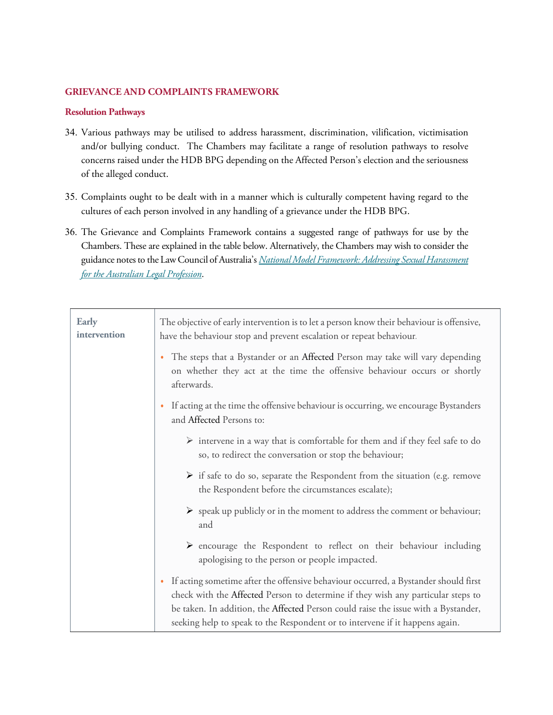## **GRIEVANCE AND COMPLAINTS FRAMEWORK**

## **Resolution Pathways**

- 34. Various pathways may be utilised to address harassment, discrimination, vilification, victimisation and/or bullying conduct. The Chambers may facilitate a range of resolution pathways to resolve concerns raised under the HDB BPG depending on the Affected Person's election and the seriousness of the alleged conduct.
- 35. Complaints ought to be dealt with in a manner which is culturally competent having regard to the cultures of each person involved in any handling of a grievance under the HDB BPG.
- 36. The Grievance and Complaints Framework contains a suggested range of pathways for use by the Chambers. These are explained in the table below. Alternatively, the Chambers may wish to consider the guidance notes to the Law Council of Australia's *[National Model Framework: Addressing Sexual Harassment](https://www.lawcouncil.asn.au/files/pdf/policy-statement/22%2012%2022%20-%20P-%20National%20Model%20Sexual%20Harassment%20Framework%20December%202021.pdf)  [for the Australian Legal Profession](https://www.lawcouncil.asn.au/files/pdf/policy-statement/22%2012%2022%20-%20P-%20National%20Model%20Sexual%20Harassment%20Framework%20December%202021.pdf)*.

| <b>Early</b><br>intervention | The objective of early intervention is to let a person know their behaviour is offensive,<br>have the behaviour stop and prevent escalation or repeat behaviour.                                                                                                                                                                                           |
|------------------------------|------------------------------------------------------------------------------------------------------------------------------------------------------------------------------------------------------------------------------------------------------------------------------------------------------------------------------------------------------------|
|                              | The steps that a Bystander or an Affected Person may take will vary depending<br>$\bullet$<br>on whether they act at the time the offensive behaviour occurs or shortly<br>afterwards.                                                                                                                                                                     |
|                              | If acting at the time the offensive behaviour is occurring, we encourage Bystanders<br>$\bullet$<br>and Affected Persons to:                                                                                                                                                                                                                               |
|                              | $\triangleright$ intervene in a way that is comfortable for them and if they feel safe to do<br>so, to redirect the conversation or stop the behaviour;                                                                                                                                                                                                    |
|                              | If safe to do so, separate the Respondent from the situation (e.g. remove<br>the Respondent before the circumstances escalate);                                                                                                                                                                                                                            |
|                              | $\triangleright$ speak up publicly or in the moment to address the comment or behaviour;<br>and                                                                                                                                                                                                                                                            |
|                              | > encourage the Respondent to reflect on their behaviour including<br>apologising to the person or people impacted.                                                                                                                                                                                                                                        |
|                              | If acting sometime after the offensive behaviour occurred, a Bystander should first<br>$\bullet$<br>check with the Affected Person to determine if they wish any particular steps to<br>be taken. In addition, the Affected Person could raise the issue with a Bystander,<br>seeking help to speak to the Respondent or to intervene if it happens again. |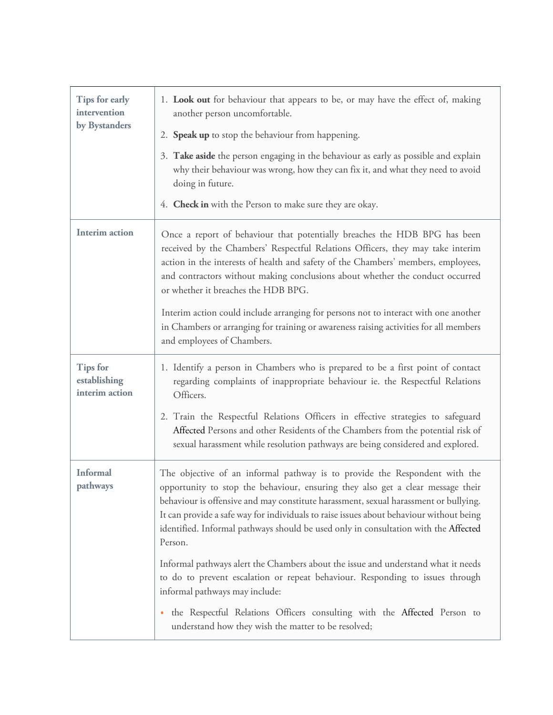| Tips for early<br>intervention<br>by Bystanders   | 1. Look out for behaviour that appears to be, or may have the effect of, making<br>another person uncomfortable.<br>2. Speak up to stop the behaviour from happening.<br>3. Take aside the person engaging in the behaviour as early as possible and explain<br>why their behaviour was wrong, how they can fix it, and what they need to avoid<br>doing in future.<br>4. Check in with the Person to make sure they are okay.                                                                                                                                                                                                                                                                                                                                                                  |
|---------------------------------------------------|-------------------------------------------------------------------------------------------------------------------------------------------------------------------------------------------------------------------------------------------------------------------------------------------------------------------------------------------------------------------------------------------------------------------------------------------------------------------------------------------------------------------------------------------------------------------------------------------------------------------------------------------------------------------------------------------------------------------------------------------------------------------------------------------------|
| <b>Interim action</b>                             | Once a report of behaviour that potentially breaches the HDB BPG has been<br>received by the Chambers' Respectful Relations Officers, they may take interim<br>action in the interests of health and safety of the Chambers' members, employees,<br>and contractors without making conclusions about whether the conduct occurred<br>or whether it breaches the HDB BPG.<br>Interim action could include arranging for persons not to interact with one another<br>in Chambers or arranging for training or awareness raising activities for all members<br>and employees of Chambers.                                                                                                                                                                                                          |
| <b>Tips for</b><br>establishing<br>interim action | 1. Identify a person in Chambers who is prepared to be a first point of contact<br>regarding complaints of inappropriate behaviour ie. the Respectful Relations<br>Officers.<br>2. Train the Respectful Relations Officers in effective strategies to safeguard<br>Affected Persons and other Residents of the Chambers from the potential risk of<br>sexual harassment while resolution pathways are being considered and explored.                                                                                                                                                                                                                                                                                                                                                            |
| <b>Informal</b><br>pathways                       | The objective of an informal pathway is to provide the Respondent with the<br>opportunity to stop the behaviour, ensuring they also get a clear message their<br>behaviour is offensive and may constitute harassment, sexual harassment or bullying.<br>It can provide a safe way for individuals to raise issues about behaviour without being<br>identified. Informal pathways should be used only in consultation with the Affected<br>Person.<br>Informal pathways alert the Chambers about the issue and understand what it needs<br>to do to prevent escalation or repeat behaviour. Responding to issues through<br>informal pathways may include:<br>. the Respectful Relations Officers consulting with the Affected Person to<br>understand how they wish the matter to be resolved; |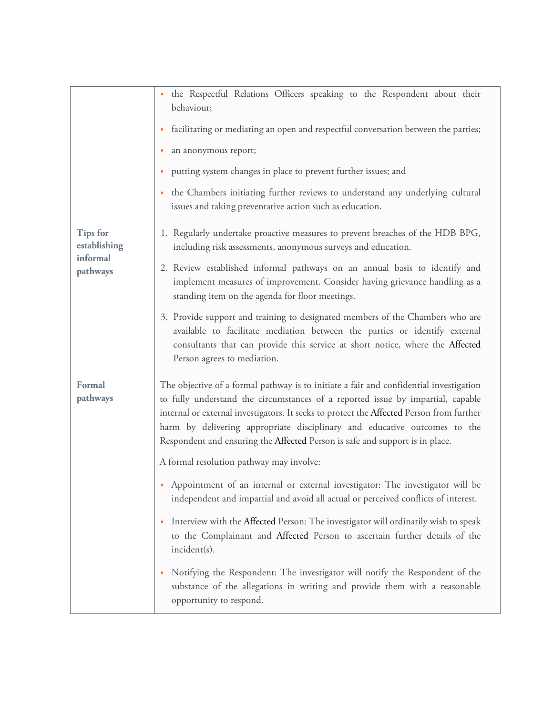|                                                         | · the Respectful Relations Officers speaking to the Respondent about their<br>behaviour;<br>facilitating or mediating an open and respectful conversation between the parties;<br>$\bullet$<br>an anonymous report;<br>$\bullet$<br>putting system changes in place to prevent further issues; and<br>٠<br>the Chambers initiating further reviews to understand any underlying cultural<br>$\bullet$<br>issues and taking preventative action such as education.                                                                                                                                                                                                                                                                                                                                                                                                                                                                                                                                                                                              |
|---------------------------------------------------------|----------------------------------------------------------------------------------------------------------------------------------------------------------------------------------------------------------------------------------------------------------------------------------------------------------------------------------------------------------------------------------------------------------------------------------------------------------------------------------------------------------------------------------------------------------------------------------------------------------------------------------------------------------------------------------------------------------------------------------------------------------------------------------------------------------------------------------------------------------------------------------------------------------------------------------------------------------------------------------------------------------------------------------------------------------------|
| <b>Tips for</b><br>establishing<br>informal<br>pathways | 1. Regularly undertake proactive measures to prevent breaches of the HDB BPG,<br>including risk assessments, anonymous surveys and education.<br>2. Review established informal pathways on an annual basis to identify and<br>implement measures of improvement. Consider having grievance handling as a<br>standing item on the agenda for floor meetings.<br>3. Provide support and training to designated members of the Chambers who are<br>available to facilitate mediation between the parties or identify external<br>consultants that can provide this service at short notice, where the Affected<br>Person agrees to mediation.                                                                                                                                                                                                                                                                                                                                                                                                                    |
| <b>Formal</b><br>pathways                               | The objective of a formal pathway is to initiate a fair and confidential investigation<br>to fully understand the circumstances of a reported issue by impartial, capable<br>internal or external investigators. It seeks to protect the Affected Person from further<br>harm by delivering appropriate disciplinary and educative outcomes to the<br>Respondent and ensuring the Affected Person is safe and support is in place.<br>A formal resolution pathway may involve:<br>• Appointment of an internal or external investigator: The investigator will be<br>independent and impartial and avoid all actual or perceived conflicts of interest.<br>Interview with the Affected Person: The investigator will ordinarily wish to speak<br>$\bullet$<br>to the Complainant and Affected Person to ascertain further details of the<br>incident(s).<br>Notifying the Respondent: The investigator will notify the Respondent of the<br>$\bullet$<br>substance of the allegations in writing and provide them with a reasonable<br>opportunity to respond. |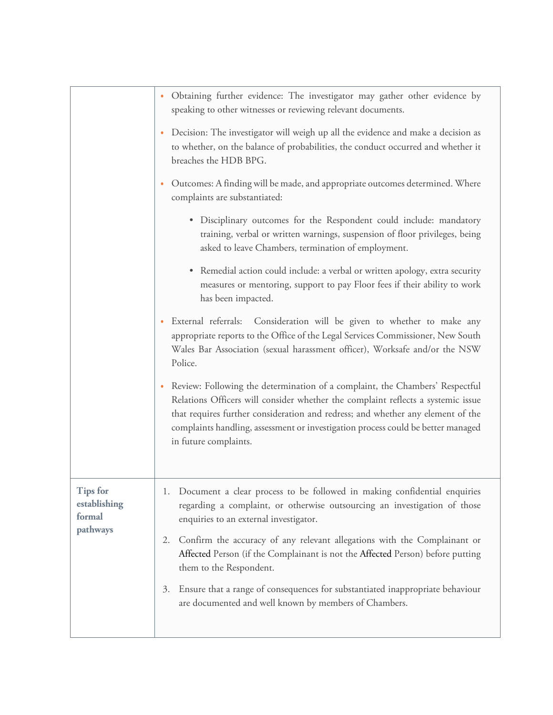|                                                       | Obtaining further evidence: The investigator may gather other evidence by<br>٠<br>speaking to other witnesses or reviewing relevant documents.                                                                                                                                                                                                                        |
|-------------------------------------------------------|-----------------------------------------------------------------------------------------------------------------------------------------------------------------------------------------------------------------------------------------------------------------------------------------------------------------------------------------------------------------------|
|                                                       | Decision: The investigator will weigh up all the evidence and make a decision as<br>$\bullet$<br>to whether, on the balance of probabilities, the conduct occurred and whether it<br>breaches the HDB BPG.                                                                                                                                                            |
|                                                       | Outcomes: A finding will be made, and appropriate outcomes determined. Where<br>$\bullet$<br>complaints are substantiated:                                                                                                                                                                                                                                            |
|                                                       | • Disciplinary outcomes for the Respondent could include: mandatory<br>training, verbal or written warnings, suspension of floor privileges, being<br>asked to leave Chambers, termination of employment.                                                                                                                                                             |
|                                                       | Remedial action could include: a verbal or written apology, extra security<br>measures or mentoring, support to pay Floor fees if their ability to work<br>has been impacted.                                                                                                                                                                                         |
|                                                       | External referrals: Consideration will be given to whether to make any<br>۰<br>appropriate reports to the Office of the Legal Services Commissioner, New South<br>Wales Bar Association (sexual harassment officer), Worksafe and/or the NSW<br>Police.                                                                                                               |
|                                                       | Review: Following the determination of a complaint, the Chambers' Respectful<br>٠<br>Relations Officers will consider whether the complaint reflects a systemic issue<br>that requires further consideration and redress; and whether any element of the<br>complaints handling, assessment or investigation process could be better managed<br>in future complaints. |
| <b>Tips for</b><br>establishing<br>formal<br>pathways | 1. Document a clear process to be followed in making confidential enquiries<br>regarding a complaint, or otherwise outsourcing an investigation of those<br>enquiries to an external investigator.                                                                                                                                                                    |
|                                                       | Confirm the accuracy of any relevant allegations with the Complainant or<br>2.<br>Affected Person (if the Complainant is not the Affected Person) before putting<br>them to the Respondent.                                                                                                                                                                           |
|                                                       | Ensure that a range of consequences for substantiated inappropriate behaviour<br>3.<br>are documented and well known by members of Chambers.                                                                                                                                                                                                                          |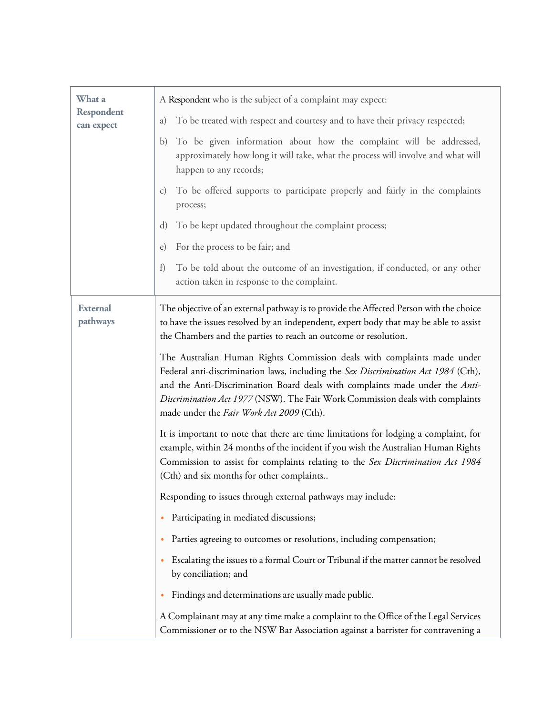| What a<br>Respondent<br>can expect | A Respondent who is the subject of a complaint may expect:                                                                                                                                                                                                                                                                                                                 |
|------------------------------------|----------------------------------------------------------------------------------------------------------------------------------------------------------------------------------------------------------------------------------------------------------------------------------------------------------------------------------------------------------------------------|
|                                    | To be treated with respect and courtesy and to have their privacy respected;<br>a)                                                                                                                                                                                                                                                                                         |
|                                    | To be given information about how the complaint will be addressed,<br>$\mathbf{b}$<br>approximately how long it will take, what the process will involve and what will<br>happen to any records;                                                                                                                                                                           |
|                                    | To be offered supports to participate properly and fairly in the complaints<br>$\mathcal{C}$ )<br>process;                                                                                                                                                                                                                                                                 |
|                                    | To be kept updated throughout the complaint process;<br>d)                                                                                                                                                                                                                                                                                                                 |
|                                    | For the process to be fair; and<br>e)                                                                                                                                                                                                                                                                                                                                      |
|                                    | To be told about the outcome of an investigation, if conducted, or any other<br>f)<br>action taken in response to the complaint.                                                                                                                                                                                                                                           |
| <b>External</b><br>pathways        | The objective of an external pathway is to provide the Affected Person with the choice<br>to have the issues resolved by an independent, expert body that may be able to assist<br>the Chambers and the parties to reach an outcome or resolution.                                                                                                                         |
|                                    | The Australian Human Rights Commission deals with complaints made under<br>Federal anti-discrimination laws, including the Sex Discrimination Act 1984 (Cth),<br>and the Anti-Discrimination Board deals with complaints made under the Anti-<br>Discrimination Act 1977 (NSW). The Fair Work Commission deals with complaints<br>made under the Fair Work Act 2009 (Cth). |
|                                    | It is important to note that there are time limitations for lodging a complaint, for<br>example, within 24 months of the incident if you wish the Australian Human Rights<br>Commission to assist for complaints relating to the Sex Discrimination Act 1984<br>(Cth) and six months for other complaints                                                                  |
|                                    | Responding to issues through external pathways may include:                                                                                                                                                                                                                                                                                                                |
|                                    | Participating in mediated discussions;                                                                                                                                                                                                                                                                                                                                     |
|                                    | Parties agreeing to outcomes or resolutions, including compensation;                                                                                                                                                                                                                                                                                                       |
|                                    | Escalating the issues to a formal Court or Tribunal if the matter cannot be resolved<br>by conciliation; and                                                                                                                                                                                                                                                               |
|                                    | Findings and determinations are usually made public.<br>٠                                                                                                                                                                                                                                                                                                                  |
|                                    | A Complainant may at any time make a complaint to the Office of the Legal Services<br>Commissioner or to the NSW Bar Association against a barrister for contravening a                                                                                                                                                                                                    |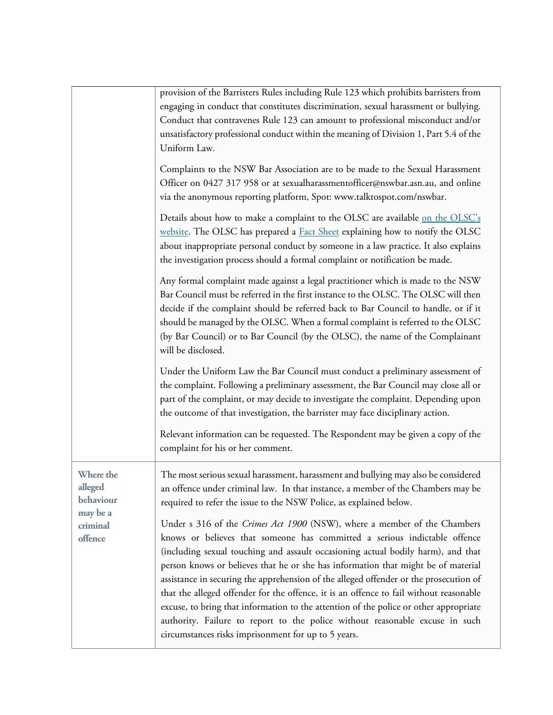|                                                                      | provision of the Barristers Rules including Rule 123 which prohibits barristers from<br>engaging in conduct that constitutes discrimination, sexual harassment or bullying.<br>Conduct that contravenes Rule 123 can amount to professional misconduct and/or<br>unsatisfactory professional conduct within the meaning of Division 1, Part 5.4 of the<br>Uniform Law.                                                                                                                                                                                                                                                                                                                                                                            |
|----------------------------------------------------------------------|---------------------------------------------------------------------------------------------------------------------------------------------------------------------------------------------------------------------------------------------------------------------------------------------------------------------------------------------------------------------------------------------------------------------------------------------------------------------------------------------------------------------------------------------------------------------------------------------------------------------------------------------------------------------------------------------------------------------------------------------------|
|                                                                      | Complaints to the NSW Bar Association are to be made to the Sexual Harassment<br>Officer on 0427 317 958 or at sexualharassmentofficer@nswbar.asn.au, and online<br>via the anonymous reporting platform, Spot: www.talktospot.com/nswbar.                                                                                                                                                                                                                                                                                                                                                                                                                                                                                                        |
|                                                                      | Details about how to make a complaint to the OLSC are available on the OLSC's<br>website. The OLSC has prepared a <b>Fact Sheet</b> explaining how to notify the OLSC<br>about inappropriate personal conduct by someone in a law practice. It also explains<br>the investigation process should a formal complaint or notification be made.                                                                                                                                                                                                                                                                                                                                                                                                      |
|                                                                      | Any formal complaint made against a legal practitioner which is made to the NSW<br>Bar Council must be referred in the first instance to the OLSC. The OLSC will then<br>decide if the complaint should be referred back to Bar Council to handle, or if it<br>should be managed by the OLSC. When a formal complaint is referred to the OLSC<br>(by Bar Council) or to Bar Council (by the OLSC), the name of the Complainant<br>will be disclosed.                                                                                                                                                                                                                                                                                              |
|                                                                      | Under the Uniform Law the Bar Council must conduct a preliminary assessment of<br>the complaint. Following a preliminary assessment, the Bar Council may close all or<br>part of the complaint, or may decide to investigate the complaint. Depending upon<br>the outcome of that investigation, the barrister may face disciplinary action.                                                                                                                                                                                                                                                                                                                                                                                                      |
|                                                                      | Relevant information can be requested. The Respondent may be given a copy of the<br>complaint for his or her comment.                                                                                                                                                                                                                                                                                                                                                                                                                                                                                                                                                                                                                             |
| Where the<br>alleged<br>behaviour<br>may be a<br>criminal<br>offence | The most serious sexual harassment, harassment and bullying may also be considered<br>an offence under criminal law. In that instance, a member of the Chambers may be<br>required to refer the issue to the NSW Police, as explained below.                                                                                                                                                                                                                                                                                                                                                                                                                                                                                                      |
|                                                                      | Under s 316 of the Crimes Act 1900 (NSW), where a member of the Chambers<br>knows or believes that someone has committed a serious indictable offence<br>(including sexual touching and assault occasioning actual bodily harm), and that<br>person knows or believes that he or she has information that might be of material<br>assistance in securing the apprehension of the alleged offender or the prosecution of<br>that the alleged offender for the offence, it is an offence to fail without reasonable<br>excuse, to bring that information to the attention of the police or other appropriate<br>authority. Failure to report to the police without reasonable excuse in such<br>circumstances risks imprisonment for up to 5 years. |